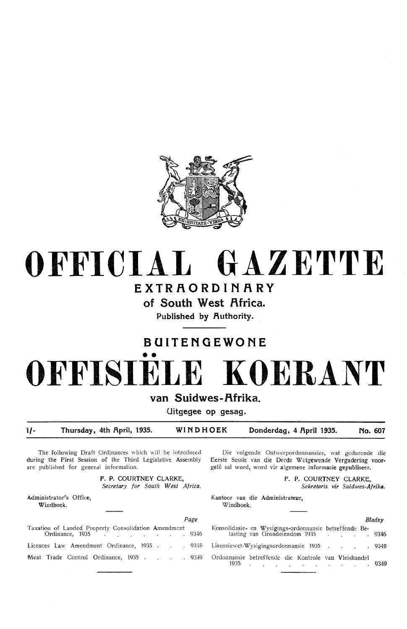

## **OFFICIAL GAZETTE EXTRAORDINARY**

**of South West Africa.** 

Published by Authority.

### **BUITENGEWONE**

# •• **OFFISIELE KOERANT**

#### van Suidwes-Afrika.

**Uitgegee op gesag.** 

**'i/- Thursday, 4th flpril, 1935. WINDHOEK Donderdag, 4 flpril 1935. No. 607** 

The following Draft Ordinances which will be introduced during the First Session of the Third Legislative Assembly are published for general information.

> **F. P. COURTNEY CLARKE,**  *Secretary for South West Africa.*

Administrator's Office, Windhoek.

| rave                                                                                         |                                                                                         |  |
|----------------------------------------------------------------------------------------------|-----------------------------------------------------------------------------------------|--|
| Taxation of Landed Property Consolidation Amendment<br>Ordinance, 1935 9346                  | Konsolidasie- en Wysigings-ordonnansie betreffende Be-<br>lasting van Grondeiendom 1935 |  |
| Licences Law Amendment Ordinance, 1935 9348 Lisensiewet-Wysigingsordonnansie 1935            |                                                                                         |  |
| Meat Trade Control Ordinance, 1935 9349 Ordonnansie betreffende die Kontrole van Vleishandel |                                                                                         |  |

Die volgende Ontwerpordonnansies, wat gedurende die Eerste Sessie van die Derde Wetgewende Vergadering voorgelê sal word, word vir algemene informasie gepubliseer.

> **F. P.** COURTNEY CLARKE, *Sekretaris vir Suidmes-Afrika.*

Kantoor van die Administrateur, Windhoek.

| Page                                                                                         | Bladsy                                                                                 |  |
|----------------------------------------------------------------------------------------------|----------------------------------------------------------------------------------------|--|
|                                                                                              |                                                                                        |  |
|                                                                                              | Licences Law Amendment Ordinance, 1935 9348 Lisensiewet-Wysigingsordonnansie 1935 9348 |  |
| Meat Trade Control Ordinance, 1935 9349 Ordonnansie betreffende die Kontrole van Vleishandel | $1935$ . $9349$                                                                        |  |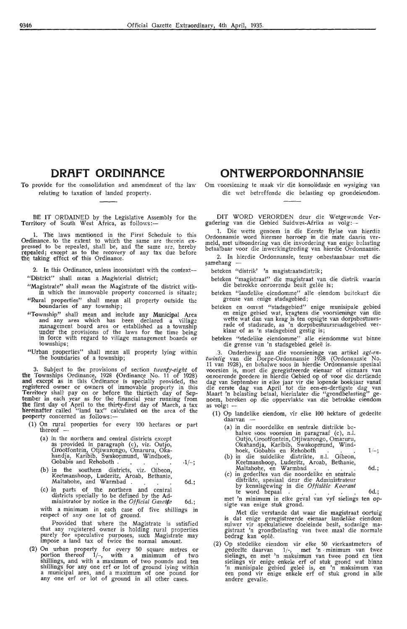#### **ORR.FT ORDINANCE**

To provide for the consolidation and amendment of the law relating to taxation of landed property.

BE IT ORDAINED by the Legislative Assembly for the Territory of South West Africa, as follows:—

1. The laws mentioned in the First Schedule *to* this Ordinance to the extent to which the same are therein ex-<br>pressed to be repealed, shall be, and the same are, hereby repealed; except as to the recovery of any tax due before the taking effect of this Ordinance.

2. In this Ordinance, unless inconsistent with the context-"District" shall mean a Magisterial district;

- "Magistrate" shall mean the Magistrate of the district with-
- in which the immovable property concerned is situate; "Rural properties" shall mean all property outside the boundaries of any township;
- "Township" shall mean and include any Municipal Area and any area which has been declared a village management board area or established as a township under the provisions of the laws for the time being in force with regard to village management boards or townships;
- "Urban properties" shall mean all property lying within the boundaries of a township;

3. Subject to the provisions of section twenty-eight of the Townships Ordinance, 1928 (Ordinance No. 11 of 1928) **and** except as in this Ordinance is specially provided, the registered owner or owners of immovable property in this Territory shall pay on or before the thirtieth day of September in each year as for the financial year running from the first day of April to the thirty-first day of March, a tax hereinafter called "land tax" calculated on the area of the property concerned as follows:-

- (1) On . rural properties for every 100 hectares or part thereof -
	- (a) in the northern and central districts except as ·provided in paragraph (c), viz. Outjo, Orootfontein, Otjiwarongo, Omaruru, Okahandja, Karibib, Swakopmund, Windhoek, Gobabis and Rehoboth . -1/-;
	- (b) in the southern districts, viz. Gibeon, Keetmanshoop, Luderitz, Aroab, Bethanie, Maltahohe, and Warmbad . . . . . . . 6d.;
	- (c) in parts of the northern and central districts specially to be defined by the Administrator by notice in the *Official Oazet¢e* 6d.;

with a minimum in each case of five shillings im respect of any one lot of gmund.

Provided that where the Magistrate is satisfied that any registered owner is holding rural properties purely for speculative purposes, such Magistrate may impose a land tax of twice the normal amount.

(2) On urban property for every 50 square metres or portion thereof  $1/-$ , with a minimum of two shillings, and with a maximum of two pounds and ten shillings for any one erf or lot of ground lying within a municipal area, and a maximum of one pound for any one erf or lot of ground in all other cases.

#### **ONTWERPORDONNANSIE**

Om voorsiening te maak vir die konsolidasie en wysiging van die wet betreffende die belasting op grondeiendom.

DIT WORD VERORDEN deur die Wetgewende Vergadering van. die Oebied Suidwes-Afrika as volg:-

1. Die wette genoem in die Eerste Bylae van hierdie Ordonnansie word hiermee herroep in die mate daarin ver-Ordonnansie word hiermee herroep in die mate daarin ver-<br>meld, met uitsondering van die invordering van enige belasting betaalbaar voor die inwerkingtreding van hierdie Ordonnansie.

2. In hierdie Ordonnansie, tensy onbestaanbaar met die samehang

beteken "distrik' 'n magistraatsdistrik;

beteken "magistraat" die magistraat van die distrik waarin die betrokke onroerende besit gelee is;

beteken "landelike eiendomme" alle eiendom buitekant die grense van enige stadsgebied;

- beteken en omvat "stadsgebied" enige munisipale gebied<br>en enige gebied wat, kragtens die voorsieninge van die<br>wette wat dan van krag is ten opsigte van dorpsbestuursrade of stadsrade, as 'n dorpsbestuursraadsgebied ver-<br>klaar of as 'n stadsgebied gestig is;
- beteken "stedelike eiendomme" alle eiendomme wat binne die grense van 'n stadsgebied geleë is.

.3. Onderhewig aan die voorsiening,e van artrkel *agt-en- twintig* van die Dorpe-Ordonnansie 1928 (Ordonnansie No. 11 van 1928), en behalwe soos in hierdie Ordonnansie spesiaal voorsien is, moet die geregistreerde eienaar of eienaars van onroerende goedere in hierdie Oebied op of voor die dertiende dag van September in elke jaar vir die lopende boekjaar vanaf die eerste dag van April tot die een-en-dertigste dag van<br>Maart 'n belasting betaal, hierinlater die "grondbelasting" genoem, bereken op die oppervlakte van die betrokke eiendom<br>as volg: --

- (1) Op landelike eiendom, vir elke 100 hektare of gedeelte daarvan
	- (a) in die noordelike en sentrale distrikte behalwe soos voorsien in paragraaf (c), n.l. Outjo, Grootfontein, Otjiwarongo, Omaruru,<br>Okahandja, Karibib, Swakopmund, Windhoek, Gobabis en Rehoboth . . . . . . 1/-; <br>
	(b) in die suidelike distrikte, n.l. Gibeon,
	- Keetmanshoop, Luderitz, Aroab, Bethanie, Maltahohe, en Warmbad . . . . . 6d.;
	- (c) in gedeeltes van die noordelike en sentrale distrikte, spesiaal deur die<sup>.</sup> Administrateur<br>by kennisgewing in die *Offisiële Koerant* te word bepaal . . . . . . 6d.;

met 'n minimum in elke geval van vyf sidings ten opsigte van enige stuk grond.

Met die verstande dat waar die magistraat oortuig is dat enige geregistreerde eienaar landelike eiendom suiwer vir spekulatiewe doeleinde besit, sodanige ma-<br>gistraat 'n grondbelasting van twee maal die normale bedrag kan oplê.

(2) Op stedelike eiendom vir dke 50 vierkantmeters of gedeelte daarvan 1/-, met 'n . minimum van twee sielings, en met 'n maksimum van twee pond en tien sielings vir enige enkele erf of stuk grond wat binne 'n munisipale gebied gelee is, en 'n maksimum van een pond vir enige enlvele erf of stuk grond in alle andere gevalle.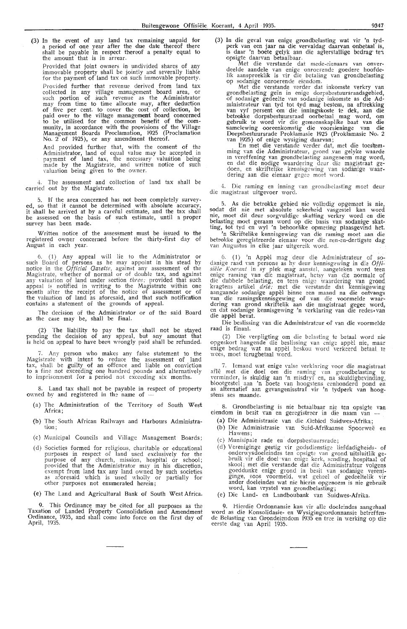(3) In the event of any land tax remaining unpaid for a period of one year after the due date thereof there shall be payable in respect thereof a penalty equal to the amount that is in arrear.

Provided that joint owners in undivided shares of any immovable property shall be jointly and severally liable for the payment of land tax on such immovable property. Provided further that revenue derived from land tax collected in any village management board area, or<br>such portion of such revenue as the Administrator may from time to time allocate may, after deduction of five per cent. to cover the cost of collection, be paid over to the village management board concerned to be utilised for the common benefit of the community, in accordance with the provisions of the Village Management Boards Proclamation, 1925 (Proclamation<br>No. 2 of 1925), or any amendment thereof.

And provided further that, with the consent of the Administrator, land of equal value may be accepted in payment of land tax, the necessary valuation being made by the Magistrate, and written notice of such valuation being given to the owner.

The assessment and collection of land tax shall be carried out by the Magistrate.

5. If the area concerned has not been completely surveyed, so that it cannot be determined with absolute accuracy,<br>it shall be arrived at by a careful estimate, and the tax shall he assessed on the basis of such estimate, until a proper survey has been made.

Written notice of the assessment must be issued to the registered owner concerned before the thirty-first day of August in each year.

6. ( 1) Any appeal will lie to the Administrator or such Board of persons as he may appoint in his stead by notice in the *Official Gazette,* against any assessment of the Magistrate, whether of normal or of double tax, and against any valuation of land under section *three;* provided that such appeal is notified in writing to the Magistrate within one month after the receipt of the notice of assessment or of the valuation of land as aforesaid, and that such notificaltion contains a statement of the grounds of appeal.

The decision of the Administrator or of the said Board as the case may be, shall be final.

(2) The liability to pay the tax shall not be stayed pending the decision of any appeal, but any amount that is held on appeal to have been wrongly paid shall be refunded.

7. Any person who makes any false statement to the Magistrate with intent to reduce the assessment of land tax, shall be guilty of an offence and liable on conviction to a fine not exceeding one hundred pounds and alternatively to imprisonment for a period not exceeding six months.

8. Land tax shall not be payable in respect of property owned by and registered in the name of -

- (a) The Administration of the Territory of South West Africa;
- (b) The South African Railways and Harbours Administra**tion;**
- ( c) Municipal Councils and Village Management Boards;
- (d) Societies formed for religious, charitable or educational purposes in respect of land used exclusively for the purpose of any church, mission, hospital or school; provided that the Administrator may in his discretion, exempt from land tax any land owned by such societies as aforesaid which is used wholly or partially for other purposes not enumerated herein;
- (e) The Land and Agricultural Bank of South West Africa.

9. This Ordinance may be cited for all purposes as the Taxation of Landed Property Consolidation and Amendment Ordinance, 1935, and shall come into force on the first day of April, 1935. (3) In die geval van enige grondbelasting wat vir 'n tydperk van een jaar na die vervaldag daarvan onbetaal is, is daar 'n boete gelyk aan die agterstallige bedrag ten opsigte daarvan betaalbaar.

Met die verstande dat mede-eienaars van onver-<br>deelde aandele van enige onroerende goedere hoofdelik aanspreeklik is vir die betaling van grondbelasting op sodanige onroerende eiendom.

Met die verstande verder dat inkomste verkry van grondbelasting ge1n in enige dorpshestumsraadsgebied, of sodanige gedeelte van sodanige inkomste as die **Ad**ministrateur van tyd tot tyd mag bestem, na aftrekking<br>van vyf persent om die inningskoste te dek, aan die betrokke dorpsbestuursraad oorbetaal mag word, om<br>gebruik te word vir die gemeenskaplike baat van die samelewing ooreenkomstig die voorsieninge van die Dorpsbestuursrade Proklamasie 1925 (Proklamasie No. 2)<br>van 1925) of enige wysiging daarvan;

En met die verstande vcrder dat, met die toes'temming van die Administrateur, grond van gelyke waarde<br>in vereffening van grondbelasting aangeneem mag word,<br>en dat die nodige waardering deur die magistraat gedoen, en skriftelike kennisgewing van sodanige waar-<br>dering aan die eienaar gegee moet word.

4. Die raming en inning van grondbelasting moet deur die magistraat uitgevoer word.

5. As die betrokke gebied n1e volledig opgem=et is nie, sodat dit nie met absolute sekerheid vasgestel kan word nie, moet dit deur sorgvuldige skatting verkry word en die belasting moet geraam word op die basis van sodanige skatting, tot tyd en wyl 'n behoorlike opmeting plaasgevind het.

'n Skriftelike kennisgewing van die raming moet aan die betrokke geregistreerde eienaar voor die een-en-dertigste dag<br>van Augustus in elke jaar uitgereik word.

6. (1) 'n Appel mag deur die Administrateur of so-<br>danige raad van persone as hy deur kennisgewing in die Offisiele Koerant in sy plek mag aanstel, aangeteken word teen enige raming van die magistraat, hetsy van die normale of die dubbele belasting, en teen enige waardering van grond kragtens artikel *drie*; met die verstande dat kennisgewing aangaande sodanige appèl binne een maand na die ontvangs<br>van die ramingskennisgewing of van die voormelde waardering van grond skriftelik aan die magistraat gegee word,<br>en dat sodanige kennisgewing 'n verklaring van die redes,van die appel bevat.

Die beslissing van die Administrateur of van die voormelde raad is finaal.

(2) Die verpligting om die belasting te betaal word nie opgeskort hangende die beslissing van enige appel nie, maar enige bedrag wat na appèl beskou word verkeerd betaal te<br>wees, moet terugbetaal word.

7. Iemand wat enige valse verklaring voor die magistraat aflê met die doel om die raming van grondbelasting te verminder, is skuldig aan 'n misdryf en, na skuldigbevinding, blootgestel aan 'n boete van hoogstens eenhonderd pond en as alternatief aan gevangenisstraf vir 'n tydperk van hoogstens ses maande.

8. Grondbelasting is nie betaalbaar nie ten opsigte van eiendom in besit van en geregistreer in die naam van --

- (a) Die Administrasie van die .Gebied Suidwes-Afrika;
- (b) Die Administrasie van Suid-Afrikaanse Spoorweë en Hawens;
- ( c) Munisipale rade en dorpsbestuursrade;
- (d) Vereniginge gestig vir godsdienstige liefdadigheids- of onderwysdoeleindes ten opsigte van grond uitsluitlik gebruik vir die doel van enige kerk, sending, hospitaal of skool; met die verstande dat die Administrakur volgens goeddunke enige grond in besit van sodanige vereniginge, soos voormeld, wat geheel of gedeeltelik vir ander doeleindes wat nie hierin opgenoem is nie gebruik<br>word, kan vrystel van grondbelasting;
- (e) Die Land- en Landboubank van Suidwes-Afrika.

9. Hierdie Ordonnansie kan vir alle doele:ndes aangehaal word as die Konsolidasie- en Wysigingsordonnansie betreffende Belasting van Grondeiendom 1935 en tree in werking op die<br>eerste dag van April 1935.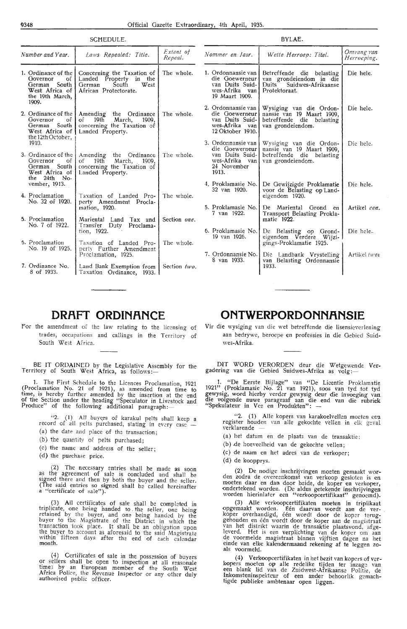| SCHEDULE.                                                                                                |                                                                                                                             |                      | BYLAE.                                                                                        |                                                                                                                                                                             |                           |  |
|----------------------------------------------------------------------------------------------------------|-----------------------------------------------------------------------------------------------------------------------------|----------------------|-----------------------------------------------------------------------------------------------|-----------------------------------------------------------------------------------------------------------------------------------------------------------------------------|---------------------------|--|
| Number and Year.                                                                                         | Laws Repealed: Title.                                                                                                       | Extent of<br>Repeal. | Nommer en Jaar.                                                                               | Wette Herroep: Titel.                                                                                                                                                       | Omvang van<br>Herroeping. |  |
| 1. Ordinance of the I<br>Governor<br>of<br>German South<br>West Africa of<br>the 19th March.<br>1909.    | Concerning the Taxation of<br>Landed Property in the<br>West<br>South<br>German<br>African Protectorate.                    | The whole.           | 1. Ordonnansie van  <br>die Goewerneur<br>van Duits Suid-<br>wes-Afrika van<br>19 Maart 1909. | Betreffende die belasting<br>van grondeiendom in die<br>Duits<br>Suidwes-Afrikaanse<br>Protektoraat.                                                                        | Die hele.                 |  |
| Governor<br>of<br>German South<br>West Africa of<br>the 12th October,                                    | 2. Ordinance of the   Amending the Ordinance<br>March, 1909,<br>$of$ 19th<br>concerning the Taxation of<br>Landed Property. | The whole.           | 12 Oktober 1910.                                                                              | 2. Ordonnansie van   Wysiging van die Ordon-<br>die Goewerneur   nansie van 19 Maart 1909,<br>van Duits Suid- betreffende die belasting<br>wes-Afrika van van grondeiendom. | Die hele.                 |  |
| 1910.<br>3. Ordinance of the $\vert$<br>of<br>Governor<br>German South<br>West Africa of<br>the 24th No- | Amending the Ordinance<br>19 <sup>t</sup><br>March, 1909,<br>of<br>concerning the Taxation of<br>Landed Property.           | The whole.           | die Goewerneur<br>van Duits Suid-<br>wes-Afrika van<br>24 November<br>1913.                   | 3. Ordonnansie van   Wysiging van die Ordon-<br>nansie van 19 Maart 1909,<br>betreffende die belasting<br>van grondeiendom.                                                 | Die hele.                 |  |
| vember, 1913.<br>4. Proclamation                                                                         | Taxation of Landed Pro-                                                                                                     | The whole.           | 4. Proklamasie No.<br>32 van 1920.                                                            | De Gewijzigde Proklamatie<br>voor de Belasting op Land-<br>eigendom 1920.                                                                                                   | Die hele.                 |  |
| No. 32 of 1920.<br>5. Proclamation                                                                       | perty Amendment Procla-<br>mation, 1920.<br>Mariental Land Tax and                                                          | Section one.         | 5. Proklamasie No.<br>7 van 1922.                                                             | De Mariental Grond<br>en<br>Transport Belasting Prokla-<br>matie 1922.                                                                                                      | Artikel een.              |  |
| No. 7 of 1922.<br>6. Proclamation                                                                        | Transfer Duty<br>Proclama-<br>tion, 1922.<br>Taxation of Landed Pro-                                                        | The whole.           | 6. Proklamasie No.<br>19 van 1926.                                                            | De Belasting op Grond-<br>eigendom Verdere Wijzi-<br>gings-Proklamatie 1925.                                                                                                | Die hele.                 |  |
| No. 19 of 1925.                                                                                          | perty Further Amendment<br>Proclamation, 1925.                                                                              |                      | 7. Ordonnansie No.<br>8 van 1933.                                                             | Die Landbank Vrystelling<br>van Belasting Ordonnansie                                                                                                                       | Artikel twee              |  |
| 7. Ordinance No.<br>8 of 1933.                                                                           | Land Bank Exemption from  <br>Taxation Ordinance, 1933.                                                                     | Section two.         |                                                                                               | 1933.                                                                                                                                                                       |                           |  |

#### **DRAFT ORDINANCE**

For the amendment of the law relating to the licensing of trades, occupations and callings in the Territory of South West Africa.

BE IT ORDAINED by the Legislative Assembly for the Territory of South West Africa, as follows:—

1. The First Schedule to the Licences Proclamation, 1921 (Proclamation No. 21 of 1921), as amended from time to time, is hereby further amended by the insertion at the end of the Section under the heading ''Speculator in Livestock and Produce" of the following additional paragraph:

"2. (1) All buyers of karakul pelts shall keep a record of all pelts purchased, stating in every case --

- (a) the date and place of the transaction;
- (b) the quantity of pelts purchased;
- (c) the name and address of the seller;
- (d) the purchase price.

(2) The necessary entries shall be made as soon as the agreement of sale is concluded and shall be signed there and then by both the buyer and the seller. (The said entries so signed shall be called hereinafter<br>a "certificate of sale").

(3) All certificates of sale shall be completed in triplicate, one being handed to the seller, one being retamed by the buyer, and one being handed by the buyer to the Magistrate of the District in which the<br>transaction took place. It shall be an obligation upon the buyer to account as aforesaid to the said Magisfrate within fifteen days after the end of each calendar month.

 $(4)$  Certificates of sale in the possession of buyers or sellers shall be open to inspection at all reasonale time; by an European member of the South West Africa Police, the Revenue Inspector or any other duly<br>authorised public officer.

#### **ONTWERPORDONNANSIE**

Vir die wysiging van die wet betreffende die lisensieverlening aan bedrywe, beroepe en professies **in** die Gebied Suidwes-Afrika.

DIT WORD VERORDEN deur die Wetgewende Vergadering van die Gebied Suidwes-Afrika as volg:-

1. "De Eerste Bijlage" van "De Licentie Proklamatie 1921" (Proklamasie No. 21 van 1921), soos van tyd tot tyd gewysig, word hierby verder gewysig deur die invoeging van die volgende nuwe paragraaf aan die end van die rubriek "Spekulateur in Vee en Produkten": -

"2. (1) Alle kopers van karakoelvellen moeten een register houden van alle gekochte vellen in elk geval<br>verklarende —

- (a) het datum en de plaafa van de transaktie;
- (b) de hoeveelheid van de gekochte vellen;
- ( c) de naam en het adres van de verkoper;
- ( d) de koopprys.

(2) De nodige inschrijvingen moeten gemaakt wor- den zodra de overeenkomst van verkoop gesloten is en moeten daar en dan door beide, de koper en verkoper, ondertekend worden. (De aldus getekende inschrijvingen worden h1erinlater een "verkoopcertifikaat" genoemd).

(3) Alle verkoopcertifikaten moeten in triplikaat opgemaak,t worden. Een daarvan wordt aan de ver- koper overhandigd, een wordt door de koper teruggehouden en één wordt door de koper aan de magistraat<br>van het distrikt waarin de transaktie plaatsvond, afgeleverd. Het is een verplichting van de koper om aan de voormelde magistraat binnen vijftien dagen na het einde van elke kalendermaand rekening af te leggen zo-<br>als voormeld.

(4) Verkoopcertifikaten in het bezit van kopers of ver-<br>kopers moeten op alle redelike tijden ter inzage van een blank lid van de Zuidwest-Afrikaanse Politie, de Inkomsteninspekteur of een ander behoorlik gemachtigde publieke ambtenaar open liggen.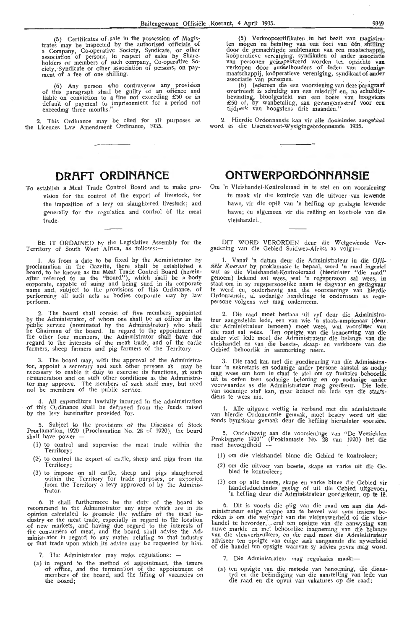(5) Certificates of sale in the possession of Magistrates may be inspected by the authorised officials of<br>a Company, Co-operative Society, Syndicate, or other association of persons, in respect of sales by Shareholders or members of such company, Co-operative Society, Syndicate or other association of persons, on payment of a fee of one shilling.

(6) Any person who contravenes any provision of this paragraph shall be guilty of an offence and liable on conviction to a fine not exceeding £50 or in<br>default of payment to imprisonment for a period not exceeding three months."

2. This Ordinance mav be cited for all purposes as the Licences Law Amendment Ordinance, 1935,

#### **DRAFT ORDINANCE**

**To** establish a Meat Trade Control Board and to make provision for the control of the export of livestock, for the imposition of a levy on slaughtered livestock; and generally for the regulation and control of the meat trade.

BE IT ORDAINED by the Legislative Assembly for the Territory of South West Africa, as follows:--

!. As from a date to be fixed by the Administrator by proclamation in the Gazette, there shall be established a board, to be known as the Meat Trade Control Board (hereinafter referred to as the "board"), which shall be a body corporate, capable of suing and being sued in its corporate name and, subject to the provisions of this Ordinance, of performing all' such acts as bodies corporate may by law perform.

2. The board shall consist of · five members appointed by the Administrator, of whom one shall be an officer in the public service (nominated by the Administrator) who shall<br>be Chairman of the board. In regard to the appointment of the other four members, the Administrator shall have due<br>regard to the interests of the meat trade, and of the cattle farmers, sheep farmers and pig farmers of the Territory.

3. The board may, with the approval of the Administrator, appoint a secretary and such other persons as may be necessary to enable it duly to exercise its functions, at such remuneration and on such other conditions as the Administrator may approve. The members of such staff may, but need not be members of the public service.

4. AU expenditure lawfully incurred in the administration of this Ordinance shall be defrayed from the funds raised by the levy hereinafter provided for.

5. Subject to the provisions of the Diseases of Stock Proclamation, 1920 (Proclamation No. 28 of 1920), the board shall have power

- (1) to control and supervise the meat trade within the Territory;
- $(2)$  to control the export of cattle, sheep and pigs from the Territory;
- (3) to impose on all cattle, sheep and pigs slaughtered within the Territory for trade purposes, or exported from the Territory a levy approved of by the Administrator.

6. It shall furthermore be the duty of the board to recommend to the Administrator any steps which are in its<br>opinion calculated to promote the welfare of the meat industry or the meat trade, especially in regard to the location of new markets, and having due regard to the interests of the consumers of meat, and the board shall advise the Administrator in regard to any matter relating to that industry or that trade upon which .its advice may be requested by him.

7. The Administrator may make regulations: -

(a) in regard to the method of appointment, the tenure of office, and the termination of the appointment of members of the board, and the filling of vacancies on the board;

(5) Verkoopcertifikaten in het bezit van magistraten mogen na betaling van een fooi van één shilling door de gemachtigde ambtenanen van een maatschappij, koöperatieve veneniging, syndikaten of ander associatie van personen geinspekteerd worden ten opzichte van verkopen door andeelhouders of leden van zodanige maatschappij, koöperatieve vereniging, syndikaat of ander associatie van personen. associatie van personen.

(6) Iedereen die een voorziening van deze paragraaf overtreedt is schuldig aan een misdrijf en, na schuldigbevinding, blootgesteld aan een boete van hoogstens £50 of, by wanbetaling, aan gevangenisstraf .voor een tijdperk van hoogstens drie maanden.''

2. Hierdie Ordonnansie kan vir alle doeleindes aangehaal word as die Lisensiewet-Wysigingsordonnansie 1935.

#### **ONTWERPORDONNANSIE**

Om 'n Vleishandel-Kontroleraad in te stel en om voorsiening te maak vir die kontrole van die uitvoer van lewende hawe, vir die ople van 'n heffing op geslagte lewende hawe; en algemeen vir die reëling en kontrole van die vleishandel.

DIT WORD VERORDEN deur die Wetgewende Vergadering van die Gebied Suidwes-Afrika as volg:-

1. Vanaf 'n datum deur die Administrateur in die Offisiële Koerant by proklamasie te bepaal, word 'n raad ingestel wat as die Vleishandel-Kontroleraad (hierinlater "die raad" genoem) bekend sal wees, wat 'n regspersoon sal wees, in staat om in sy regspersoonlike naam te dagvaar en gedagvaar te word en, onderhewig aan die voorsieninge van hierdie Ordonnansie, al sodanige handelinge te onderneem as regspersone volgens wet mag onderneem.

2. Die raad moet bestaan uit vyf deur die Administrateur aangestelde lede, een van wie 'n staats-amptenaar (deur die · Administrateur benoem} moet wees, wat voorsitter van die raad sal wees. Ten opsigte van die benoeming van die ander vier lede moet die Administrateur die belange van die vleishandel en van die beeste-, skaap- en varkboe**r**e van die Gebied behoorlik in aanmerking neem.

3. Die raad kan met die goedkeuring van die Administrateur 'n sekretaris en sodanige ander persone aanstel as nodig mag wees om hom in staat te stel om sy funksies behoorlik uit te oefen teen sodanige beloning en op sodanige ander voorwaardes as die Administrateur mag goedkeur. Die lede . van sodanige staf kan, maar behoef nie lede van die staats-<br>diens te wees nie.

4. Aile uitgawe wettig in verband met die administrasie van hierdie Ordonnansie gemaak, moet bestry word uit die fonds bymekaar gemaak deur die heffing hierinlater voorsien.

5. Onderhewig aan die voorsieninge van "De Veeziekten Proklamatie 1920" (Proklamasie No. 28 van 1920) het die raad bevoegdheid --

- (1) om die vleishandel binne die Gebied te kontroleer;
- (2) om die uitvoer van beeste, skape en varke uit die Ge-bied *te* kontrolee r;
- (3) om op alle beeste, skape en varke binne die Gebied vir handelsdoeleindes geslag of uit die Gebied uitgevoer, 'n heffing deur die Administrateur goedgekeur, op te lê.

6. Dit is voorts die plig van die raad om aan die **Ad**ministrateur enige stappe aan te beveel wat syns insiens bereken is om die weivaart van die vleisnywerheid of die vleishandel te bevorder, .. . eral ten opsigte van die aanwysing van nuwe markte en met behoorlike inagneming van die belange van die vleisverbruikers, en die raad moet die Administrateur adviseer ten opsigte van enige saak aangaande die nywerheid of die handel ten opsigte waarvan sy advies gevra mag word.

7. Die Administrateur mag regulasies maak:-

(a) ten opsigte van die metode van benoeming, die dienstyd en die beëindiging van die aanstelling van lede van<br>die raad en die opvul van vakatures op die raad;